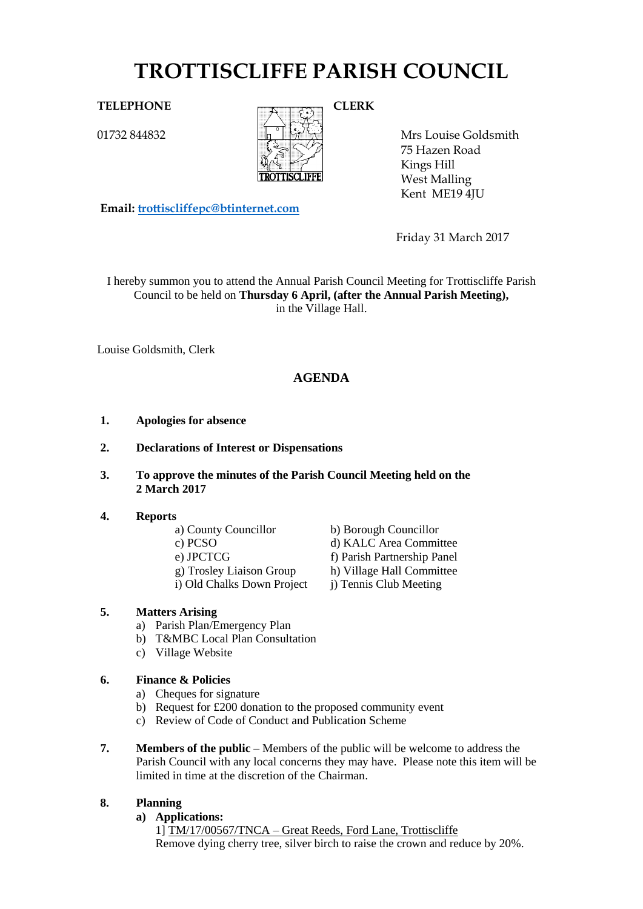# **TROTTISCLIFFE PARISH COUNCIL**

01732 844832



Mrs Louise Goldsmith 75 Hazen Road Kings Hill West Malling Kent ME19 4JU

Friday 31 March 2017

I hereby summon you to attend the Annual Parish Council Meeting for Trottiscliffe Parish Council to be held on **Thursday 6 April, (after the Annual Parish Meeting),**  in the Village Hall.

Louise Goldsmith, Clerk

# **AGENDA**

- **1. Apologies for absence**
- **2. Declarations of Interest or Dispensations**
- **3. To approve the minutes of the Parish Council Meeting held on the 2 March 2017**

# **4. Reports**

- 
- 

**Email: [trottiscliffepc@btinternet.com](mailto:trottiscliffepc@btinternet.com)**

- 
- 
- i) Old Chalks Down Project j) Tennis Club Meeting
- **5. Matters Arising** 
	- a) Parish Plan/Emergency Plan
	- b) T&MBC Local Plan Consultation
	- c) Village Website

# **6. Finance & Policies**

- a) Cheques for signature
- b) Request for £200 donation to the proposed community event
- c) Review of Code of Conduct and Publication Scheme
- **7. Members of the public** Members of the public will be welcome to address the Parish Council with any local concerns they may have. Please note this item will be limited in time at the discretion of the Chairman.

# **8. Planning**

#### **a) Applications:**

1] TM/17/00567/TNCA – Great Reeds, Ford Lane, Trottiscliffe Remove dying cherry tree, silver birch to raise the crown and reduce by 20%.

a) County Councillor b) Borough Councillor c) PCSO d) KALC Area Committee e) JPCTCG f) Parish Partnership Panel g) Trosley Liaison Group h) Village Hall Committee